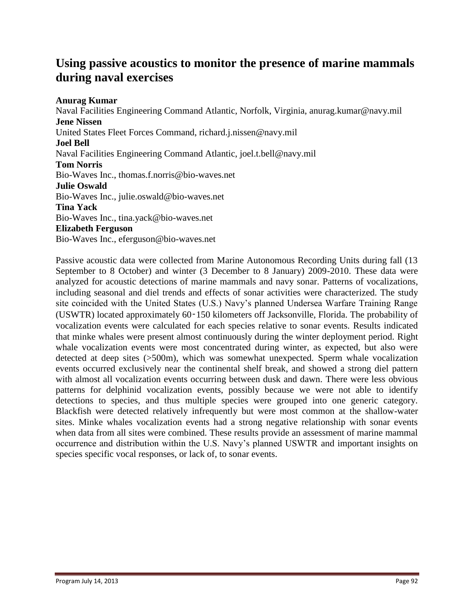### **Using passive acoustics to monitor the presence of marine mammals during naval exercises**

#### **Anurag Kumar**

Naval Facilities Engineering Command Atlantic, Norfolk, Virginia, anurag.kumar@navy.mil **Jene Nissen** United States Fleet Forces Command, richard.j.nissen@navy.mil **Joel Bell** Naval Facilities Engineering Command Atlantic, joel.t.bell@navy.mil **Tom Norris** Bio-Waves Inc., thomas.f.norris@bio-waves.net **Julie Oswald** Bio-Waves Inc., julie.oswald@bio-waves.net **Tina Yack** Bio-Waves Inc., tina.yack@bio-waves.net **Elizabeth Ferguson** Bio-Waves Inc., eferguson@bio-waves.net

Passive acoustic data were collected from Marine Autonomous Recording Units during fall (13 September to 8 October) and winter (3 December to 8 January) 2009-2010. These data were analyzed for acoustic detections of marine mammals and navy sonar. Patterns of vocalizations, including seasonal and diel trends and effects of sonar activities were characterized. The study site coincided with the United States (U.S.) Navy's planned Undersea Warfare Training Range (USWTR) located approximately 60‑150 kilometers off Jacksonville, Florida. The probability of vocalization events were calculated for each species relative to sonar events. Results indicated that minke whales were present almost continuously during the winter deployment period. Right whale vocalization events were most concentrated during winter, as expected, but also were detected at deep sites (>500m), which was somewhat unexpected. Sperm whale vocalization events occurred exclusively near the continental shelf break, and showed a strong diel pattern with almost all vocalization events occurring between dusk and dawn. There were less obvious patterns for delphinid vocalization events, possibly because we were not able to identify detections to species, and thus multiple species were grouped into one generic category. Blackfish were detected relatively infrequently but were most common at the shallow-water sites. Minke whales vocalization events had a strong negative relationship with sonar events when data from all sites were combined. These results provide an assessment of marine mammal occurrence and distribution within the U.S. Navy's planned USWTR and important insights on species specific vocal responses, or lack of, to sonar events.